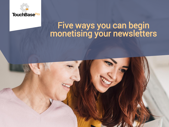

# Five ways you can begin monetising your newsletters

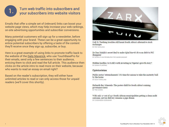

# Turn web traffic into subscribers and<br>your subscribers into website visitors

Emails that offer a simple set of (relevant) links can boost your website page views, which may help increase your web rankings, on-site advertising opportunities and subscriber conversions.

Many potential customers will sign up for a newsletter, before engaging with your brand. These can be a great opportunity to entice potential subscribers by offering a taste of the content they'll receive once they sign up, subscribe, or buy.

Here is a great example of using links to promote traffic back to the website of the **[Daily Maverick](https://www.dailymaverick.co.za/)**, who use TouchBasePro for their emails, send only a few sentences to their audience, enticing them to click and read the full article. This audience then clicks on the article intro to read more on their website, because who wants to read an essay on email right?

Based on the reader's subscription, they will either have unlimited articles to read or can only access those for unpaid readers (we'll cover this shortly).



ZAR X: Teething troubles still haunt South Africa's alternative stock exchanges BY RAY MAHLAKA

Dr Dan Matjila's secret deal to make Iqbal Survé's R700m debt to PIC disappear BY DEWALD VAN RENSBURG FOR AMABHUNGANE

Hidden hurdles: Is it still worth investing in Nigeria's growth story? BY SASHA PLANTING

#### Opinionistas

Public sector 'retrenchments': It's time for unions to take the austerity bull by the horns BY DICK FORSLUND

Richards Bay Minerals: The poster child for South Africa's mining governance mess BY TIM COHEN

With only 27 out of 257 South African municipalities getting a clean audit outcome, service delivery remains a pipe dream BY CASSANDRA DORASAMY

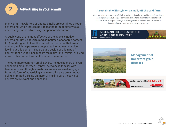

## 2. Advertising in your emails

Many email newsletters or update emails are sustained through advertising, which increasingly takes the form of either visual advertising, native advertising, or sponsored content.

Arguably one of the most effective of the above is native advertising. Native adverts (and sometimes, sponsored content too) are designed to look like part of the sender of that email's content, which helps ensure people read, or at least consider looking at this content. The size and design of this type of content range widely because its main aim is to "mimic" or blend in with other content within the email or newsletter.

The other more common email adverts include banners or even sponsored email themes. By now, everyone is familiar with banner ads, and though sometimes audiences are disengaged from this form of advertising, you can still create great impact using animated GIFS as banners, or making sure these visual adverts are relevant and appealing.

### A sustainable lifestyle on a small, off-the-grid farm

After spending seven years in Zithulele and three in Cebe in rural Eastern Cape, Karen and Roger Galloway bought Heartwood Homestead, a small farm close to East London. Here, they practise regenerative agriculture and use their resources to benefit others through an internship programme.

#### **AGRISMART SOLUTIONS FOR THE AGRICULTURAL INDUSTRY** www.bearings.co.za





**Management of** important grain diseases



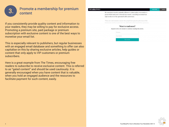

# Promote a membership for premium<br>content

If you consistently provide quality content and information to your readers, they may be willing to pay for exclusive access. Promoting a premium site, paid package or premium subscription with exclusive content is one of the best ways to monetise your email list.

This is especially relevant to publishers, but regular businesses with an engaged email database and something to offer can also capitalise on this by sharing exclusive articles, help guides or content that only apply to VIP customers or premium subscribers.

Here is a great example from The Times, encouraging free readers to subscribe to receive exclusive content. This is referred to as "gated content" and should be used cautiously. It is generally encouraged when you have content that is valuable, when you hold an engaged audience and the resources to facilitate payment for such content, easily.

|  |  | THE 58 |  | <b>L TIMES</b> |  |
|--|--|--------|--|----------------|--|
|  |  |        |  |                |  |

His unscripted remarks, markedly different to Labour policy, were made at a private think tank event in Brussels last month. A recording was leaked last night on the eve of the agreement's 20th anniversary.

**SUBSCRIBE** 

**LOG IN** 

"There are real economic reasons why people have played up the issue of the Irish border and the need to have the shibboleth of the Good Friday agreement.

#### Want to read more?

#### Register with a few details to continue reading this article.

| Full name     |            |  |
|---------------|------------|--|
| Email address |            |  |
|               | Get access |  |

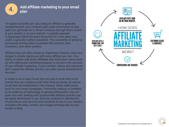

# **4.** Add affiliate marketing to your email plan

To explain as briefly as I can, being an affiliate is generally straightforward: your company gets paid commission on any sales you generate for a certain company through their content in your emails, or on your website. A popular example is, **[BuzzFeed](https://tapfiliate.com/blog/how-buzzfeed-mastered-affiliate-marketing/)** which has been doing this for a few years now under a specially crafted newsletter. This newsletter is aimed at exclusively driving sales to partners like Amazon, Mac Cosmetics, and other retailers.

Affiliate links are often simple to implement, however, there is a danger in simply signing up with every affiliate you can. Your ability to select only those affiliates that share your values (just as with selling your advertising space), is crucial to the success of your affiliate marketing. If your content, values, and relevance don't match the affiliate adverts, your plan can be doomed from the start.

It needs to be a major focus that you aim to work with niche brands that your audience will most likely purchase, as well as those that are established in the industry, which adds social proof to your email campaigns. Promoting makeup or jewellery to an audience of technology or gaming enthusiasts may not work very well. Dealing with questionable affiliate partners can be highly detrimental to you and your audience's satisfaction. Find products and services that would be of use to your readers and place the links, content, and images strategically on your emails or blog.